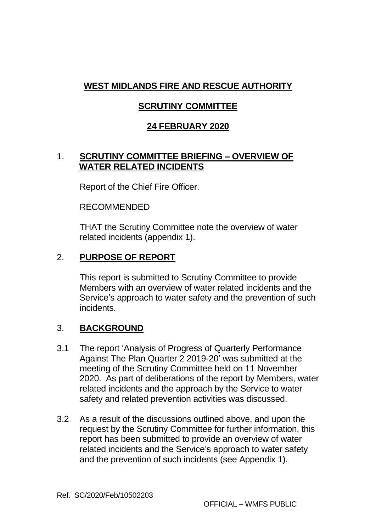# **WEST MIDLANDS FIRE AND RESCUE AUTHORITY**

# **SCRUTINY COMMITTEE**

# **24 FEBRUARY 2020**

## 1. **SCRUTINY COMMITTEE BRIEFING – OVERVIEW OF WATER RELATED INCIDENTS**

Report of the Chief Fire Officer.

RECOMMENDED

THAT the Scrutiny Committee note the overview of water related incidents (appendix 1).

# 2. **PURPOSE OF REPORT**

This report is submitted to Scrutiny Committee to provide Members with an overview of water related incidents and the Service's approach to water safety and the prevention of such incidents.

## 3. **BACKGROUND**

- 3.1 The report 'Analysis of Progress of Quarterly Performance Against The Plan Quarter 2 2019-20' was submitted at the meeting of the Scrutiny Committee held on 11 November 2020. As part of deliberations of the report by Members, water related incidents and the approach by the Service to water safety and related prevention activities was discussed.
- 3.2 As a result of the discussions outlined above, and upon the request by the Scrutiny Committee for further information, this report has been submitted to provide an overview of water related incidents and the Service's approach to water safety and the prevention of such incidents (see Appendix 1).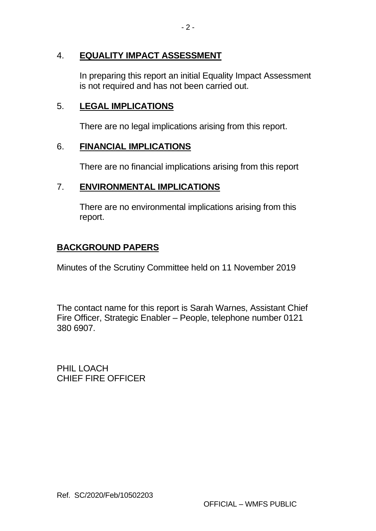## 4. **EQUALITY IMPACT ASSESSMENT**

In preparing this report an initial Equality Impact Assessment is not required and has not been carried out.

### 5. **LEGAL IMPLICATIONS**

There are no legal implications arising from this report.

#### 6. **FINANCIAL IMPLICATIONS**

There are no financial implications arising from this report

## 7. **ENVIRONMENTAL IMPLICATIONS**

There are no environmental implications arising from this report.

## **BACKGROUND PAPERS**

Minutes of the Scrutiny Committee held on 11 November 2019

The contact name for this report is Sarah Warnes, Assistant Chief Fire Officer, Strategic Enabler – People, telephone number 0121 380 6907.

PHIL LOACH CHIEF FIRE OFFICER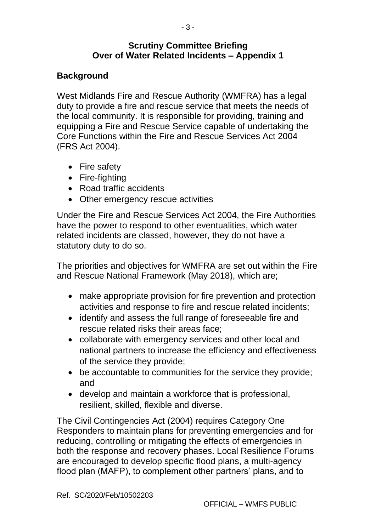#### **Scrutiny Committee Briefing Over of Water Related Incidents – Appendix 1**

### **Background**

West Midlands Fire and Rescue Authority (WMFRA) has a legal duty to provide a fire and rescue service that meets the needs of the local community. It is responsible for providing, training and equipping a Fire and Rescue Service capable of undertaking the Core Functions within the Fire and Rescue Services Act 2004 (FRS Act 2004).

- Fire safety
- Fire-fighting
- Road traffic accidents
- Other emergency rescue activities

Under the Fire and Rescue Services Act 2004, the Fire Authorities have the power to respond to other eventualities, which water related incidents are classed, however, they do not have a statutory duty to do so.

The priorities and objectives for WMFRA are set out within the Fire and Rescue National Framework (May 2018), which are;

- make appropriate provision for fire prevention and protection activities and response to fire and rescue related incidents;
- identify and assess the full range of foreseeable fire and rescue related risks their areas face;
- collaborate with emergency services and other local and national partners to increase the efficiency and effectiveness of the service they provide;
- be accountable to communities for the service they provide; and
- develop and maintain a workforce that is professional, resilient, skilled, flexible and diverse.

The Civil Contingencies Act (2004) requires Category One Responders to maintain plans for preventing emergencies and for reducing, controlling or mitigating the effects of emergencies in both the response and recovery phases. Local Resilience Forums are encouraged to develop specific flood plans, a multi-agency flood plan (MAFP), to complement other partners' plans, and to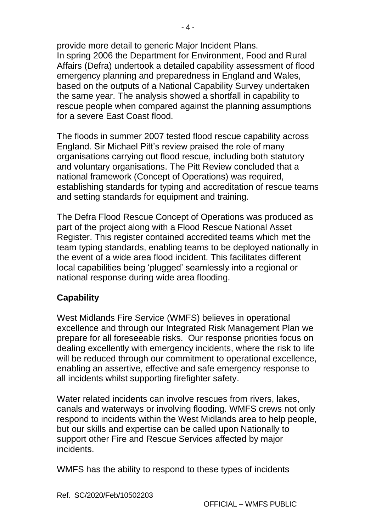provide more detail to generic Major Incident Plans. In spring 2006 the Department for Environment, Food and Rural Affairs (Defra) undertook a detailed capability assessment of flood emergency planning and preparedness in England and Wales, based on the outputs of a National Capability Survey undertaken the same year. The analysis showed a shortfall in capability to rescue people when compared against the planning assumptions for a severe East Coast flood.

The floods in summer 2007 tested flood rescue capability across England. Sir Michael Pitt's review praised the role of many organisations carrying out flood rescue, including both statutory and voluntary organisations. The Pitt Review concluded that a national framework (Concept of Operations) was required, establishing standards for typing and accreditation of rescue teams and setting standards for equipment and training.

The Defra Flood Rescue Concept of Operations was produced as part of the project along with a Flood Rescue National Asset Register. This register contained accredited teams which met the team typing standards, enabling teams to be deployed nationally in the event of a wide area flood incident. This facilitates different local capabilities being 'plugged' seamlessly into a regional or national response during wide area flooding.

#### **Capability**

West Midlands Fire Service (WMFS) believes in operational excellence and through our Integrated Risk Management Plan we prepare for all foreseeable risks. Our response priorities focus on dealing excellently with emergency incidents, where the risk to life will be reduced through our commitment to operational excellence, enabling an assertive, effective and safe emergency response to all incidents whilst supporting firefighter safety.

Water related incidents can involve rescues from rivers, lakes, canals and waterways or involving flooding. WMFS crews not only respond to incidents within the West Midlands area to help people, but our skills and expertise can be called upon Nationally to support other Fire and Rescue Services affected by major incidents.

WMFS has the ability to respond to these types of incidents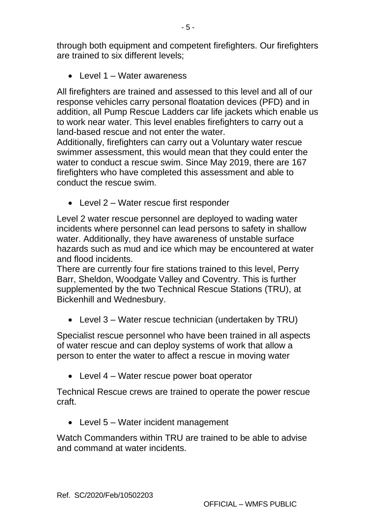through both equipment and competent firefighters. Our firefighters are trained to six different levels;

• Level 1 – Water awareness

All firefighters are trained and assessed to this level and all of our response vehicles carry personal floatation devices (PFD) and in addition, all Pump Rescue Ladders car life jackets which enable us to work near water. This level enables firefighters to carry out a land-based rescue and not enter the water.

Additionally, firefighters can carry out a Voluntary water rescue swimmer assessment, this would mean that they could enter the water to conduct a rescue swim. Since May 2019, there are 167 firefighters who have completed this assessment and able to conduct the rescue swim.

• Level 2 – Water rescue first responder

Level 2 water rescue personnel are deployed to wading water incidents where personnel can lead persons to safety in shallow water. Additionally, they have awareness of unstable surface hazards such as mud and ice which may be encountered at water and flood incidents.

There are currently four fire stations trained to this level, Perry Barr, Sheldon, Woodgate Valley and Coventry. This is further supplemented by the two Technical Rescue Stations (TRU), at Bickenhill and Wednesbury.

• Level 3 – Water rescue technician (undertaken by TRU)

Specialist rescue personnel who have been trained in all aspects of water rescue and can deploy systems of work that allow a person to enter the water to affect a rescue in moving water

• Level 4 – Water rescue power boat operator

Technical Rescue crews are trained to operate the power rescue craft.

• Level 5 – Water incident management

Watch Commanders within TRU are trained to be able to advise and command at water incidents.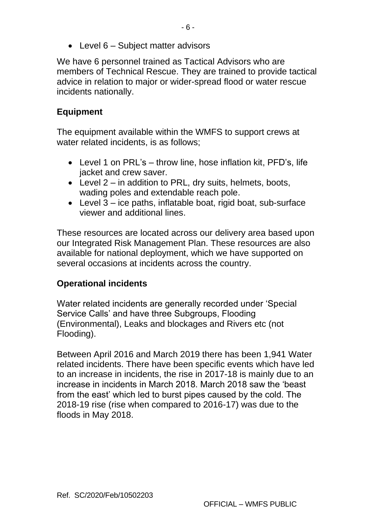• Level 6 – Subject matter advisors

We have 6 personnel trained as Tactical Advisors who are members of Technical Rescue. They are trained to provide tactical advice in relation to major or wider-spread flood or water rescue incidents nationally.

# **Equipment**

The equipment available within the WMFS to support crews at water related incidents, is as follows;

- Level 1 on PRL's throw line, hose inflation kit, PFD's, life jacket and crew saver.
- Level 2 in addition to PRL, dry suits, helmets, boots, wading poles and extendable reach pole.
- Level 3 ice paths, inflatable boat, rigid boat, sub-surface viewer and additional lines.

These resources are located across our delivery area based upon our Integrated Risk Management Plan. These resources are also available for national deployment, which we have supported on several occasions at incidents across the country.

# **Operational incidents**

Water related incidents are generally recorded under 'Special Service Calls' and have three Subgroups, Flooding (Environmental), Leaks and blockages and Rivers etc (not Flooding).

Between April 2016 and March 2019 there has been 1,941 Water related incidents. There have been specific events which have led to an increase in incidents, the rise in 2017-18 is mainly due to an increase in incidents in March 2018. March 2018 saw the 'beast from the east' which led to burst pipes caused by the cold. The 2018-19 rise (rise when compared to 2016-17) was due to the floods in May 2018.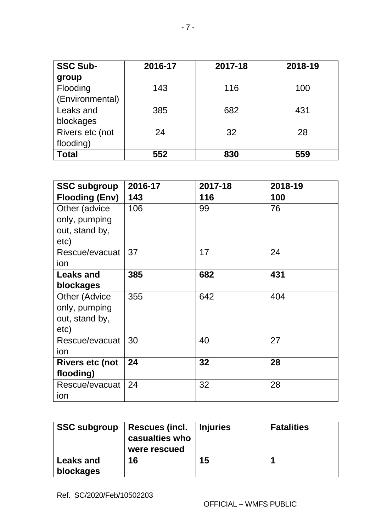| <b>SSC Sub-</b> | 2016-17 | 2017-18 | 2018-19 |
|-----------------|---------|---------|---------|
| group           |         |         |         |
| Flooding        | 143     | 116     | 100     |
| (Environmental) |         |         |         |
| Leaks and       | 385     | 682     | 431     |
| blockages       |         |         |         |
| Rivers etc (not | 24      | 32      | 28      |
| flooding)       |         |         |         |
| <b>Total</b>    | 552     | 830     | 559     |

| <b>SSC subgroup</b>    | 2016-17 | 2017-18 | 2018-19 |
|------------------------|---------|---------|---------|
| <b>Flooding (Env)</b>  | 143     | 116     | 100     |
| Other (advice          | 106     | 99      | 76      |
| only, pumping          |         |         |         |
| out, stand by,         |         |         |         |
| etc)                   |         |         |         |
| Rescue/evacuat         | 37      | 17      | 24      |
| ion                    |         |         |         |
| <b>Leaks and</b>       | 385     | 682     | 431     |
| blockages              |         |         |         |
| <b>Other (Advice</b>   | 355     | 642     | 404     |
| only, pumping          |         |         |         |
| out, stand by,         |         |         |         |
| etc)                   |         |         |         |
| Rescue/evacuat         | 30      | 40      | 27      |
| ion                    |         |         |         |
| <b>Rivers etc (not</b> | 24      | 32      | 28      |
| flooding)              |         |         |         |
| Rescue/evacuat         | 24      | 32      | 28      |
| ion                    |         |         |         |

| <b>SSC subgroup</b>           | Rescues (incl.   Injuries<br>casualties who<br>were rescued |    | <b>Fatalities</b> |
|-------------------------------|-------------------------------------------------------------|----|-------------------|
| <b>Leaks and</b><br>blockages | 16                                                          | 15 |                   |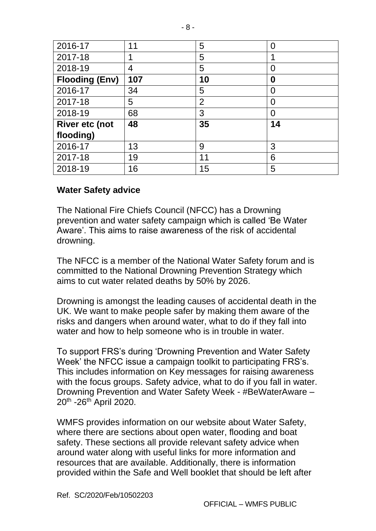| 2016-17               | 11  | 5              | 0  |
|-----------------------|-----|----------------|----|
| 2017-18               |     | 5              |    |
| 2018-19               | 4   | 5              | 0  |
| <b>Flooding (Env)</b> | 107 | 10             | 0  |
| 2016-17               | 34  | 5              | O  |
| 2017-18               | 5   | $\overline{2}$ | 0  |
| 2018-19               | 68  | 3              | 0  |
| <b>River etc (not</b> | 48  | 35             | 14 |
| flooding)             |     |                |    |
| 2016-17               | 13  | 9              | 3  |
| 2017-18               | 19  | 11             | 6  |
| 2018-19               | 16  | 15             | 5  |

#### **Water Safety advice**

The National Fire Chiefs Council (NFCC) has a Drowning prevention and water safety campaign which is called 'Be Water Aware'. This aims to raise awareness of the risk of accidental drowning.

The NFCC is a member of the National Water Safety forum and is committed to the National Drowning Prevention Strategy which aims to cut water related deaths by 50% by 2026.

Drowning is amongst the leading causes of accidental death in the UK. We want to make people safer by making them aware of the risks and dangers when around water, what to do if they fall into water and how to help someone who is in trouble in water.

To support FRS's during 'Drowning Prevention and Water Safety Week' the NFCC issue a campaign toolkit to participating FRS's. This includes information on Key messages for raising awareness with the focus groups. Safety advice, what to do if you fall in water. Drowning Prevention and Water Safety Week - #BeWaterAware – 20<sup>th</sup> -26<sup>th</sup> April 2020.

WMFS provides information on our website about Water Safety, where there are sections about open water, flooding and boat safety. These sections all provide relevant safety advice when around water along with useful links for more information and resources that are available. Additionally, there is information provided within the Safe and Well booklet that should be left after